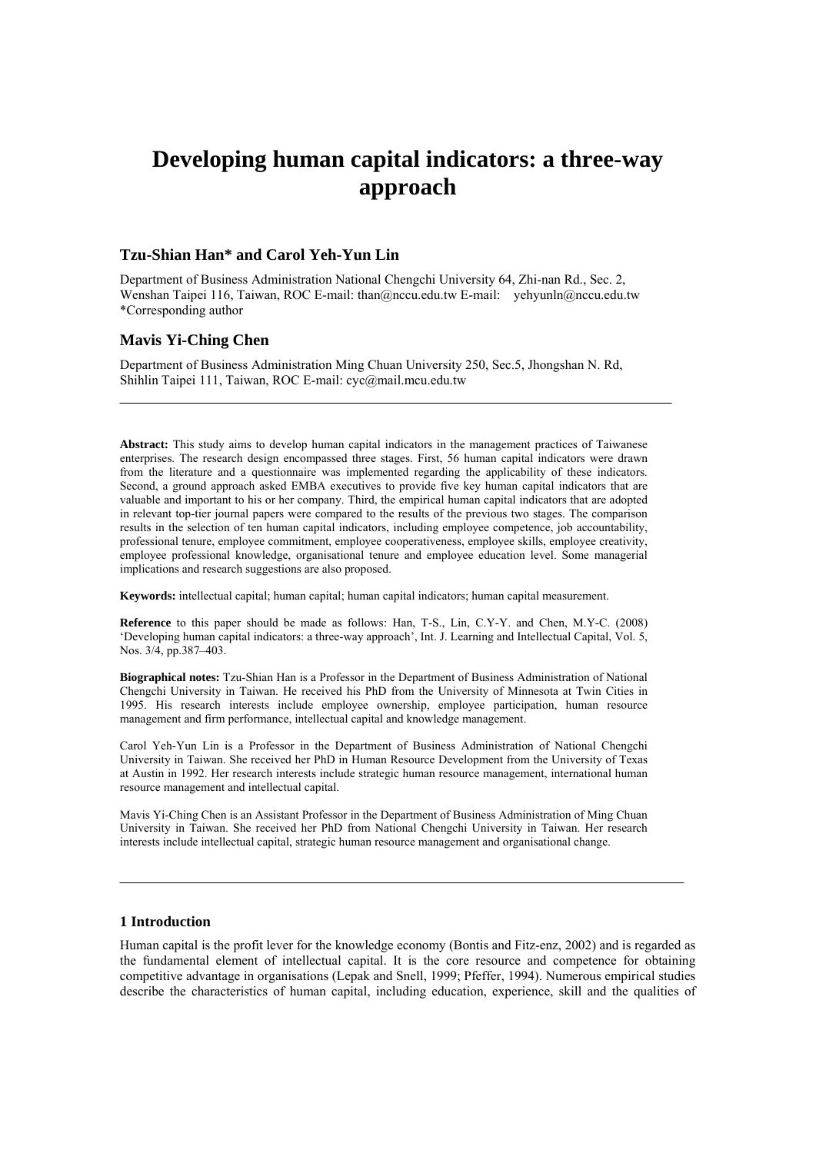# **Developing human capital indicators: a three-way approach**

# **Tzu-Shian Han\* and Carol Yeh-Yun Lin**

Department of Business Administration National Chengchi University 64, Zhi-nan Rd., Sec. 2, Wenshan Taipei 116, Taiwan, ROC E-mail: than@nccu.edu.tw E-mail: yehyunln@nccu.edu.tw \*Corresponding author

# **Mavis Yi-Ching Chen**

Department of Business Administration Ming Chuan University 250, Sec.5, Jhongshan N. Rd, Shihlin Taipei 111, Taiwan, ROC E-mail: cyc@mail.mcu.edu.tw

**Abstract:** This study aims to develop human capital indicators in the management practices of Taiwanese enterprises. The research design encompassed three stages. First, 56 human capital indicators were drawn from the literature and a questionnaire was implemented regarding the applicability of these indicators. Second, a ground approach asked EMBA executives to provide five key human capital indicators that are valuable and important to his or her company. Third, the empirical human capital indicators that are adopted in relevant top-tier journal papers were compared to the results of the previous two stages. The comparison results in the selection of ten human capital indicators, including employee competence, job accountability, professional tenure, employee commitment, employee cooperativeness, employee skills, employee creativity, employee professional knowledge, organisational tenure and employee education level. Some managerial implications and research suggestions are also proposed.

**Keywords:** intellectual capital; human capital; human capital indicators; human capital measurement.

**Reference** to this paper should be made as follows: Han, T-S., Lin, C.Y-Y. and Chen, M.Y-C. (2008) 'Developing human capital indicators: a three-way approach', Int. J. Learning and Intellectual Capital, Vol. 5, Nos. 3/4, pp.387–403.

**Biographical notes:** Tzu-Shian Han is a Professor in the Department of Business Administration of National Chengchi University in Taiwan. He received his PhD from the University of Minnesota at Twin Cities in 1995. His research interests include employee ownership, employee participation, human resource management and firm performance, intellectual capital and knowledge management.

Carol Yeh-Yun Lin is a Professor in the Department of Business Administration of National Chengchi University in Taiwan. She received her PhD in Human Resource Development from the University of Texas at Austin in 1992. Her research interests include strategic human resource management, international human resource management and intellectual capital.

Mavis Yi-Ching Chen is an Assistant Professor in the Department of Business Administration of Ming Chuan University in Taiwan. She received her PhD from National Chengchi University in Taiwan. Her research interests include intellectual capital, strategic human resource management and organisational change.

# **1 Introduction**

Human capital is the profit lever for the knowledge economy (Bontis and Fitz-enz, 2002) and is regarded as the fundamental element of intellectual capital. It is the core resource and competence for obtaining competitive advantage in organisations (Lepak and Snell, 1999; Pfeffer, 1994). Numerous empirical studies describe the characteristics of human capital, including education, experience, skill and the qualities of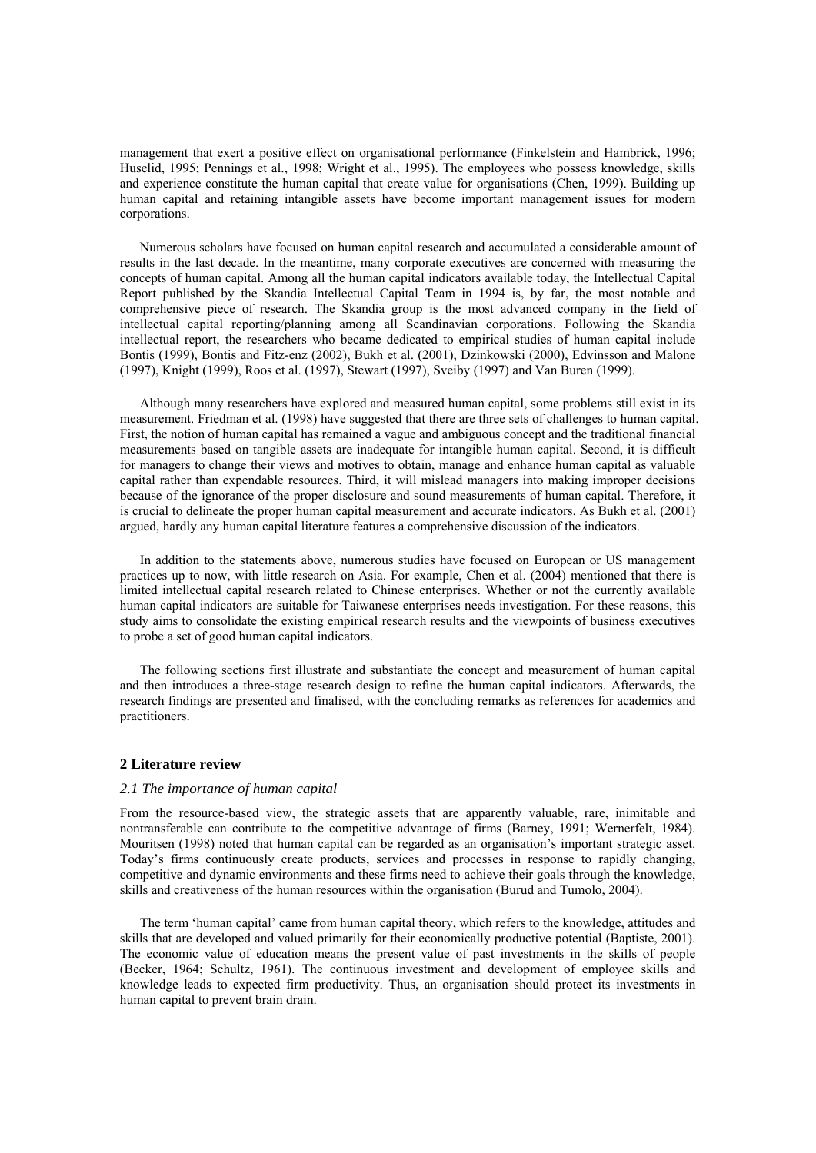management that exert a positive effect on organisational performance (Finkelstein and Hambrick, 1996; Huselid, 1995; Pennings et al., 1998; Wright et al., 1995). The employees who possess knowledge, skills and experience constitute the human capital that create value for organisations (Chen, 1999). Building up human capital and retaining intangible assets have become important management issues for modern corporations.

Numerous scholars have focused on human capital research and accumulated a considerable amount of results in the last decade. In the meantime, many corporate executives are concerned with measuring the concepts of human capital. Among all the human capital indicators available today, the Intellectual Capital Report published by the Skandia Intellectual Capital Team in 1994 is, by far, the most notable and comprehensive piece of research. The Skandia group is the most advanced company in the field of intellectual capital reporting/planning among all Scandinavian corporations. Following the Skandia intellectual report, the researchers who became dedicated to empirical studies of human capital include Bontis (1999), Bontis and Fitz-enz (2002), Bukh et al. (2001), Dzinkowski (2000), Edvinsson and Malone (1997), Knight (1999), Roos et al. (1997), Stewart (1997), Sveiby (1997) and Van Buren (1999).

Although many researchers have explored and measured human capital, some problems still exist in its measurement. Friedman et al. (1998) have suggested that there are three sets of challenges to human capital. First, the notion of human capital has remained a vague and ambiguous concept and the traditional financial measurements based on tangible assets are inadequate for intangible human capital. Second, it is difficult for managers to change their views and motives to obtain, manage and enhance human capital as valuable capital rather than expendable resources. Third, it will mislead managers into making improper decisions because of the ignorance of the proper disclosure and sound measurements of human capital. Therefore, it is crucial to delineate the proper human capital measurement and accurate indicators. As Bukh et al. (2001) argued, hardly any human capital literature features a comprehensive discussion of the indicators.

In addition to the statements above, numerous studies have focused on European or US management practices up to now, with little research on Asia. For example, Chen et al. (2004) mentioned that there is limited intellectual capital research related to Chinese enterprises. Whether or not the currently available human capital indicators are suitable for Taiwanese enterprises needs investigation. For these reasons, this study aims to consolidate the existing empirical research results and the viewpoints of business executives to probe a set of good human capital indicators.

The following sections first illustrate and substantiate the concept and measurement of human capital and then introduces a three-stage research design to refine the human capital indicators. Afterwards, the research findings are presented and finalised, with the concluding remarks as references for academics and practitioners.

#### **2 Literature review**

# *2.1 The importance of human capital*

From the resource-based view, the strategic assets that are apparently valuable, rare, inimitable and nontransferable can contribute to the competitive advantage of firms (Barney, 1991; Wernerfelt, 1984). Mouritsen (1998) noted that human capital can be regarded as an organisation's important strategic asset. Today's firms continuously create products, services and processes in response to rapidly changing, competitive and dynamic environments and these firms need to achieve their goals through the knowledge, skills and creativeness of the human resources within the organisation (Burud and Tumolo, 2004).

The term 'human capital' came from human capital theory, which refers to the knowledge, attitudes and skills that are developed and valued primarily for their economically productive potential (Baptiste, 2001). The economic value of education means the present value of past investments in the skills of people (Becker, 1964; Schultz, 1961). The continuous investment and development of employee skills and knowledge leads to expected firm productivity. Thus, an organisation should protect its investments in human capital to prevent brain drain.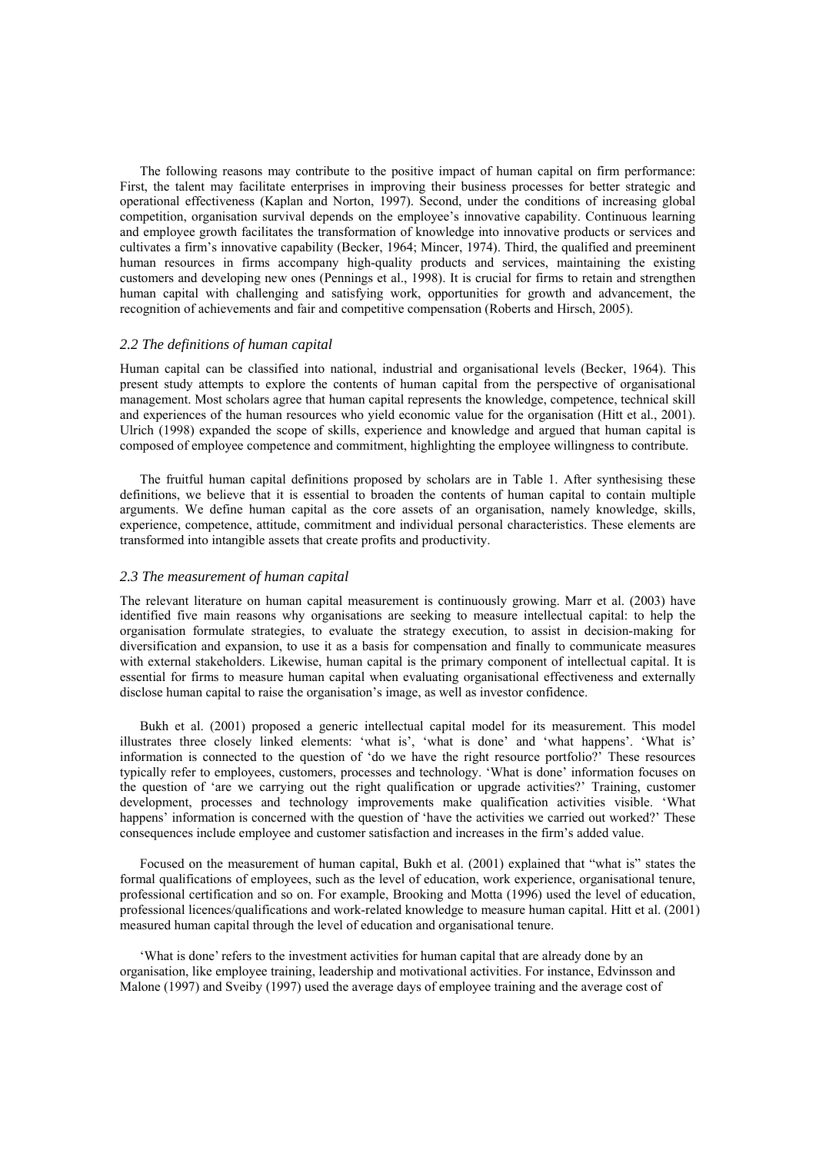The following reasons may contribute to the positive impact of human capital on firm performance: First, the talent may facilitate enterprises in improving their business processes for better strategic and operational effectiveness (Kaplan and Norton, 1997). Second, under the conditions of increasing global competition, organisation survival depends on the employee's innovative capability. Continuous learning and employee growth facilitates the transformation of knowledge into innovative products or services and cultivates a firm's innovative capability (Becker, 1964; Mincer, 1974). Third, the qualified and preeminent human resources in firms accompany high-quality products and services, maintaining the existing customers and developing new ones (Pennings et al., 1998). It is crucial for firms to retain and strengthen human capital with challenging and satisfying work, opportunities for growth and advancement, the recognition of achievements and fair and competitive compensation (Roberts and Hirsch, 2005).

#### *2.2 The definitions of human capital*

Human capital can be classified into national, industrial and organisational levels (Becker, 1964). This present study attempts to explore the contents of human capital from the perspective of organisational management. Most scholars agree that human capital represents the knowledge, competence, technical skill and experiences of the human resources who yield economic value for the organisation (Hitt et al., 2001). Ulrich (1998) expanded the scope of skills, experience and knowledge and argued that human capital is composed of employee competence and commitment, highlighting the employee willingness to contribute.

The fruitful human capital definitions proposed by scholars are in Table 1. After synthesising these definitions, we believe that it is essential to broaden the contents of human capital to contain multiple arguments. We define human capital as the core assets of an organisation, namely knowledge, skills, experience, competence, attitude, commitment and individual personal characteristics. These elements are transformed into intangible assets that create profits and productivity.

### *2.3 The measurement of human capital*

The relevant literature on human capital measurement is continuously growing. Marr et al. (2003) have identified five main reasons why organisations are seeking to measure intellectual capital: to help the organisation formulate strategies, to evaluate the strategy execution, to assist in decision-making for diversification and expansion, to use it as a basis for compensation and finally to communicate measures with external stakeholders. Likewise, human capital is the primary component of intellectual capital. It is essential for firms to measure human capital when evaluating organisational effectiveness and externally disclose human capital to raise the organisation's image, as well as investor confidence.

Bukh et al. (2001) proposed a generic intellectual capital model for its measurement. This model illustrates three closely linked elements: 'what is', 'what is done' and 'what happens'. 'What is' information is connected to the question of 'do we have the right resource portfolio?' These resources typically refer to employees, customers, processes and technology. 'What is done' information focuses on the question of 'are we carrying out the right qualification or upgrade activities?' Training, customer development, processes and technology improvements make qualification activities visible. 'What happens' information is concerned with the question of 'have the activities we carried out worked?' These consequences include employee and customer satisfaction and increases in the firm's added value.

Focused on the measurement of human capital, Bukh et al. (2001) explained that "what is" states the formal qualifications of employees, such as the level of education, work experience, organisational tenure, professional certification and so on. For example, Brooking and Motta (1996) used the level of education, professional licences/qualifications and work-related knowledge to measure human capital. Hitt et al. (2001) measured human capital through the level of education and organisational tenure.

'What is done' refers to the investment activities for human capital that are already done by an organisation, like employee training, leadership and motivational activities. For instance, Edvinsson and Malone (1997) and Sveiby (1997) used the average days of employee training and the average cost of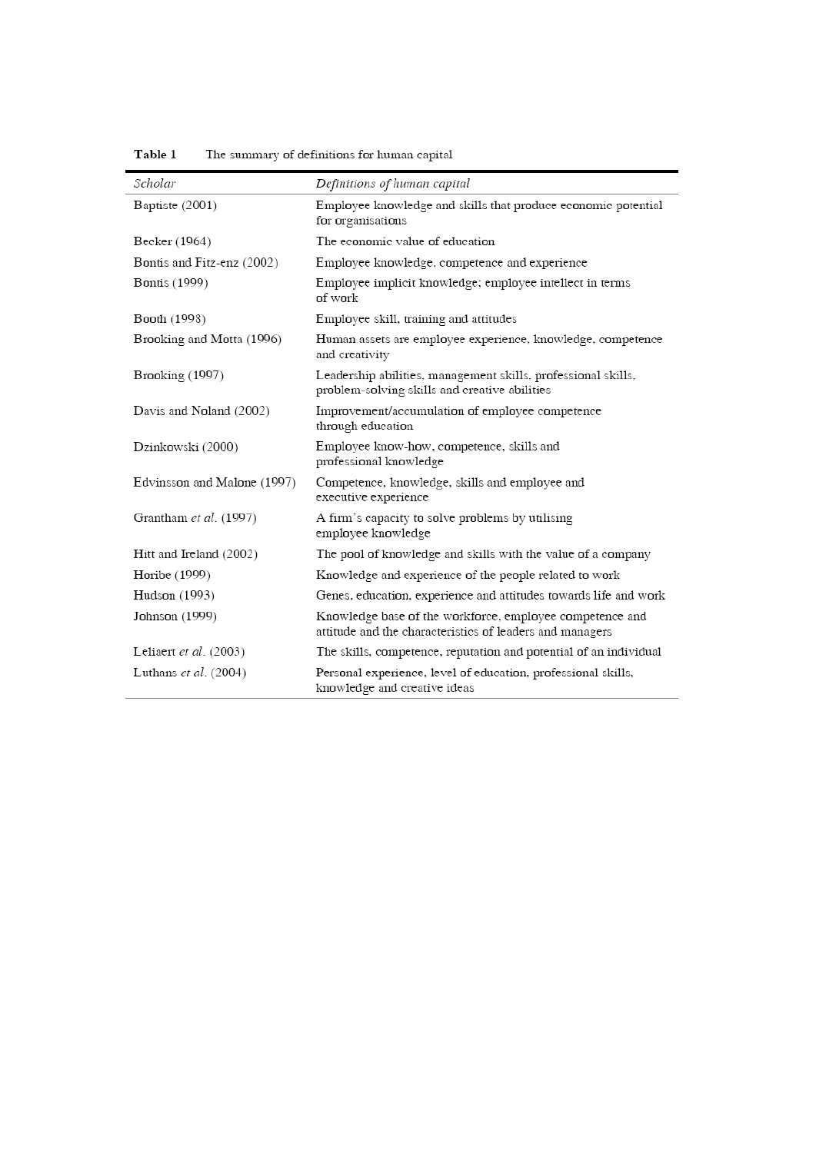| Scholar                     | Definitions of human capital                                                                                         |  |
|-----------------------------|----------------------------------------------------------------------------------------------------------------------|--|
| Baptiste (2001)             | Employee knowledge and skills that produce economic potential<br>for organisations                                   |  |
| Becker (1964)               | The economic value of education                                                                                      |  |
| Bontis and Fitz-enz (2002)  | Employee knowledge, competence and experience                                                                        |  |
| Bontis (1999)               | Employee implicit knowledge; employee intellect in terms<br>of work                                                  |  |
| Booth (1998)                | Employee skill, training and attitudes                                                                               |  |
| Brooking and Motta (1996)   | Human assets are employee experience, knowledge, competence<br>and creativity                                        |  |
| Brooking (1997)             | Leadership abilities, management skills, professional skills,<br>problem-solving skills and creative abilities       |  |
| Davis and Noland (2002)     | Improvement/accumulation of employee competence<br>through education                                                 |  |
| Dzinkowski (2000)           | Employee know-how, competence, skills and<br>professional knowledge                                                  |  |
| Edvinsson and Malone (1997) | Competence, knowledge, skills and employee and<br>executive experience                                               |  |
| Grantham et al. (1997)      | A firm's capacity to solve problems by utilising<br>employee knowledge                                               |  |
| Hitt and Ireland (2002)     | The pool of knowledge and skills with the value of a company                                                         |  |
| Horibe (1999)               | Knowledge and experience of the people related to work                                                               |  |
| Hudson (1993)               | Genes, education, experience and attitudes towards life and work                                                     |  |
| Johnson (1999)              | Knowledge base of the workforce, employee competence and<br>attitude and the characteristics of leaders and managers |  |
| Leliaert et al. (2003)      | The skills, competence, reputation and potential of an individual                                                    |  |
| Luthans $et$ al. (2004)     | Personal experience, level of education, professional skills,<br>knowledge and creative ideas                        |  |

Table 1 The summary of definitions for human capital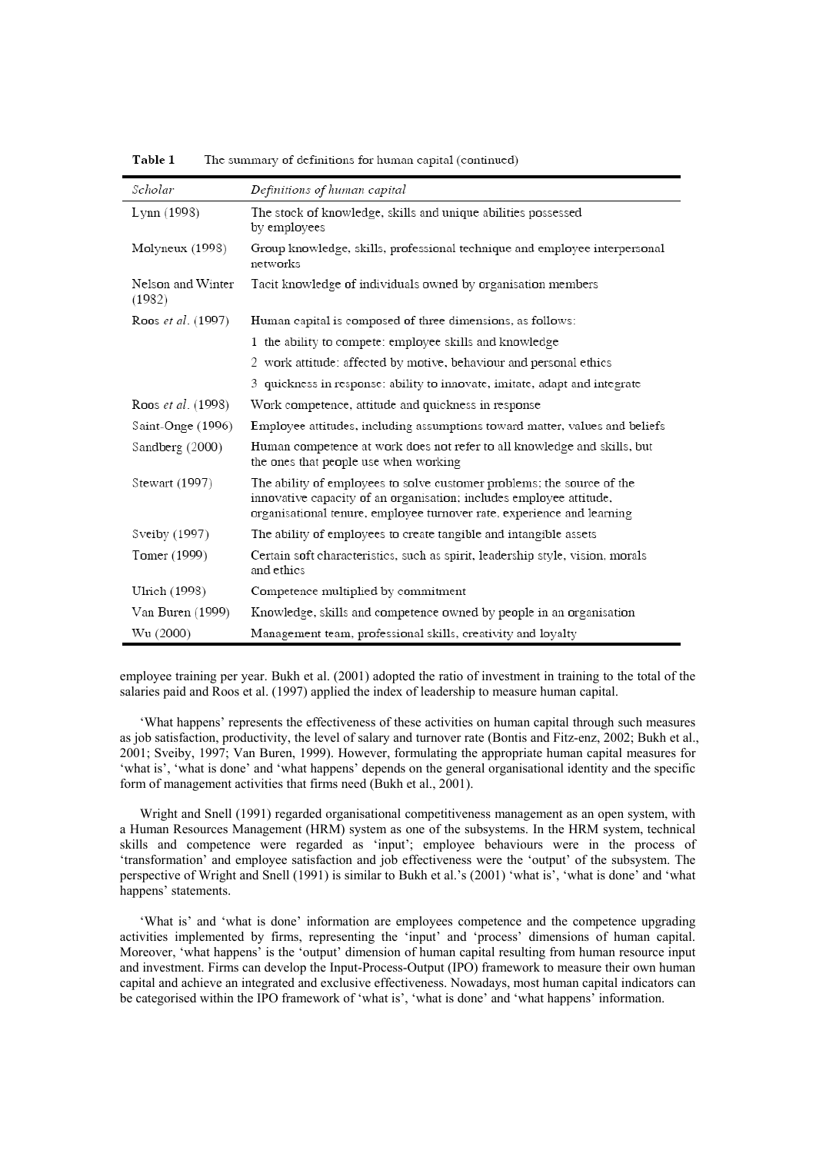Table 1 The summary of definitions for human capital (continued)

| Scholar                     | Definitions of human capital                                                                                                                                                                                            |
|-----------------------------|-------------------------------------------------------------------------------------------------------------------------------------------------------------------------------------------------------------------------|
| Lynn (1998)                 | The stock of knowledge, skills and unique abilities possessed<br>by employees                                                                                                                                           |
| Molyneux (1998)             | Group knowledge, skills, professional technique and employee interpersonal<br>networks                                                                                                                                  |
| Nelson and Winter<br>(1982) | Tacit knowledge of individuals owned by organisation members                                                                                                                                                            |
| Roos et al. (1997)          | Human capital is composed of three dimensions, as follows:                                                                                                                                                              |
|                             | 1 the ability to compete: employee skills and knowledge                                                                                                                                                                 |
|                             | 2 work attitude: affected by motive, behaviour and personal ethics                                                                                                                                                      |
|                             | 3 quickness in response: ability to innovate, imitate, adapt and integrate                                                                                                                                              |
| Roos et al. (1998)          | Work competence, attitude and quickness in response                                                                                                                                                                     |
| Saint-Onge (1996)           | Employee attitudes, including assumptions toward matter, values and beliefs                                                                                                                                             |
| Sandberg (2000)             | Human competence at work does not refer to all knowledge and skills, but<br>the ones that people use when working                                                                                                       |
| Stewart (1997)              | The ability of employees to solve customer problems; the source of the<br>innovative capacity of an organisation; includes employee attitude,<br>organisational tenure, employee turnover rate, experience and learning |
| Sveiby (1997)               | The ability of employees to create tangible and intangible assets                                                                                                                                                       |
| Tomer (1999)                | Certain soft characteristics, such as spirit, leadership style, vision, morals<br>and ethics                                                                                                                            |
| Ulrich (1998)               | Competence multiplied by commitment                                                                                                                                                                                     |
| Van Buren (1999)            | Knowledge, skills and competence owned by people in an organisation                                                                                                                                                     |
| Wu (2000)                   | Management team, professional skills, creativity and loyalty                                                                                                                                                            |

employee training per year. Bukh et al. (2001) adopted the ratio of investment in training to the total of the salaries paid and Roos et al. (1997) applied the index of leadership to measure human capital.

'What happens' represents the effectiveness of these activities on human capital through such measures as job satisfaction, productivity, the level of salary and turnover rate (Bontis and Fitz-enz, 2002; Bukh et al., 2001; Sveiby, 1997; Van Buren, 1999). However, formulating the appropriate human capital measures for 'what is', 'what is done' and 'what happens' depends on the general organisational identity and the specific form of management activities that firms need (Bukh et al., 2001).

Wright and Snell (1991) regarded organisational competitiveness management as an open system, with a Human Resources Management (HRM) system as one of the subsystems. In the HRM system, technical skills and competence were regarded as 'input'; employee behaviours were in the process of 'transformation' and employee satisfaction and job effectiveness were the 'output' of the subsystem. The perspective of Wright and Snell (1991) is similar to Bukh et al.'s (2001) 'what is', 'what is done' and 'what happens' statements.

'What is' and 'what is done' information are employees competence and the competence upgrading activities implemented by firms, representing the 'input' and 'process' dimensions of human capital. Moreover, 'what happens' is the 'output' dimension of human capital resulting from human resource input and investment. Firms can develop the Input-Process-Output (IPO) framework to measure their own human capital and achieve an integrated and exclusive effectiveness. Nowadays, most human capital indicators can be categorised within the IPO framework of 'what is', 'what is done' and 'what happens' information.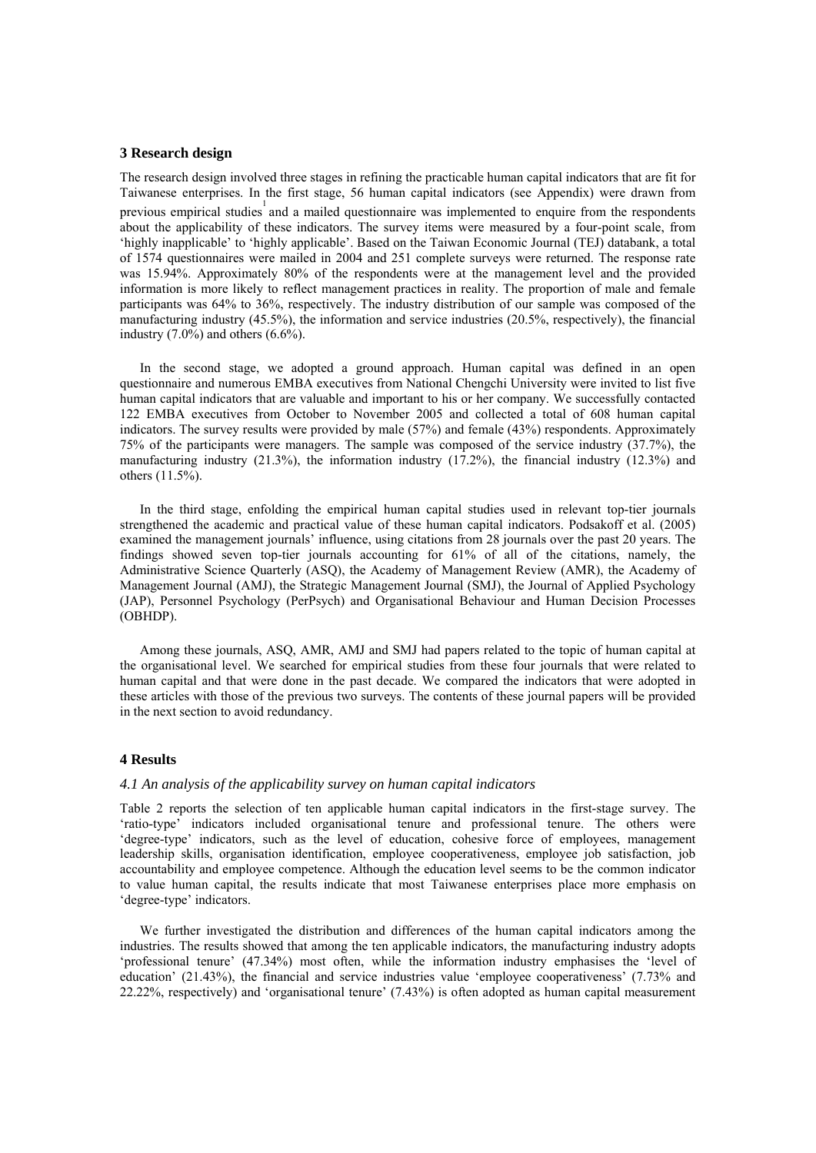#### **3 Research design**

The research design involved three stages in refining the practicable human capital indicators that are fit for Taiwanese enterprises. In the first stage, 56 human capital indicators (see Appendix) were drawn from previous empirical studies<sup>1</sup> and a mailed questionnaire was implemented to enquire from the respondents about the applicability of these indicators. The survey items were measured by a four-point scale, from 'highly inapplicable' to 'highly applicable'. Based on the Taiwan Economic Journal (TEJ) databank, a total of 1574 questionnaires were mailed in 2004 and 251 complete surveys were returned. The response rate was 15.94%. Approximately 80% of the respondents were at the management level and the provided information is more likely to reflect management practices in reality. The proportion of male and female participants was 64% to 36%, respectively. The industry distribution of our sample was composed of the manufacturing industry (45.5%), the information and service industries (20.5%, respectively), the financial industry  $(7.0\%)$  and others  $(6.6\%)$ .

In the second stage, we adopted a ground approach. Human capital was defined in an open questionnaire and numerous EMBA executives from National Chengchi University were invited to list five human capital indicators that are valuable and important to his or her company. We successfully contacted 122 EMBA executives from October to November 2005 and collected a total of 608 human capital indicators. The survey results were provided by male (57%) and female (43%) respondents. Approximately 75% of the participants were managers. The sample was composed of the service industry (37.7%), the manufacturing industry  $(21.3\%)$ , the information industry  $(17.2\%)$ , the financial industry  $(12.3\%)$  and others (11.5%).

In the third stage, enfolding the empirical human capital studies used in relevant top-tier journals strengthened the academic and practical value of these human capital indicators. Podsakoff et al. (2005) examined the management journals' influence, using citations from 28 journals over the past 20 years. The findings showed seven top-tier journals accounting for 61% of all of the citations, namely, the Administrative Science Quarterly (ASQ), the Academy of Management Review (AMR), the Academy of Management Journal (AMJ), the Strategic Management Journal (SMJ), the Journal of Applied Psychology (JAP), Personnel Psychology (PerPsych) and Organisational Behaviour and Human Decision Processes (OBHDP).

Among these journals, ASQ, AMR, AMJ and SMJ had papers related to the topic of human capital at the organisational level. We searched for empirical studies from these four journals that were related to human capital and that were done in the past decade. We compared the indicators that were adopted in these articles with those of the previous two surveys. The contents of these journal papers will be provided in the next section to avoid redundancy.

# **4 Results**

#### *4.1 An analysis of the applicability survey on human capital indicators*

Table 2 reports the selection of ten applicable human capital indicators in the first-stage survey. The 'ratio-type' indicators included organisational tenure and professional tenure. The others were 'degree-type' indicators, such as the level of education, cohesive force of employees, management leadership skills, organisation identification, employee cooperativeness, employee job satisfaction, job accountability and employee competence. Although the education level seems to be the common indicator to value human capital, the results indicate that most Taiwanese enterprises place more emphasis on 'degree-type' indicators.

We further investigated the distribution and differences of the human capital indicators among the industries. The results showed that among the ten applicable indicators, the manufacturing industry adopts 'professional tenure' (47.34%) most often, while the information industry emphasises the 'level of education' (21.43%), the financial and service industries value 'employee cooperativeness' (7.73% and 22.22%, respectively) and 'organisational tenure' (7.43%) is often adopted as human capital measurement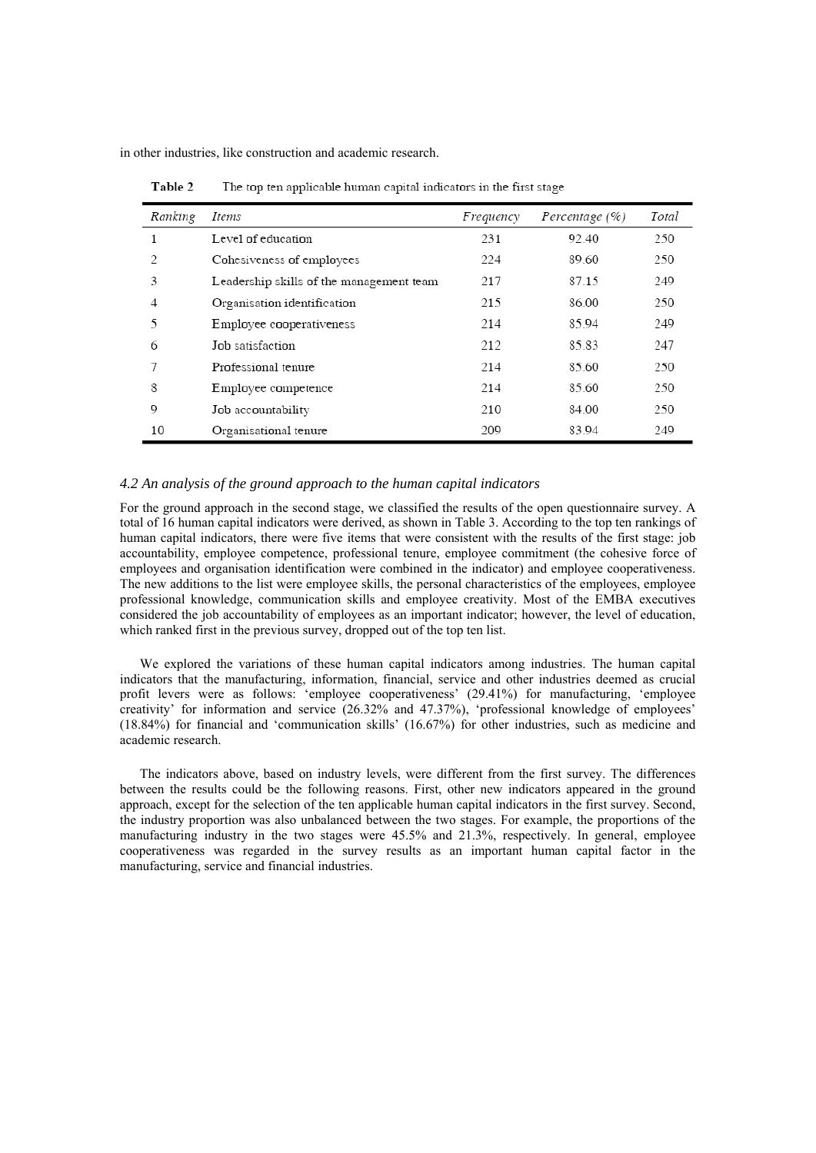in other industries, like construction and academic research.

| Ranking | Items                                    | Frequency | Percentage (%) | Total |
|---------|------------------------------------------|-----------|----------------|-------|
| 1       | Level of education                       | 231       | 92.40          | 250   |
| 2       | Cohesiveness of employees                | 224       | 89.60          | 250   |
| 3       | Leadership skills of the management team | 217       | 87.15          | 249   |
| 4       | Organisation identification              | 215       | 86.00          | 250   |
| 5       | Employee cooperativeness                 | 214       | 85.94          | 249   |
| 6       | Job satisfaction                         | 212       | 85.83          | 247   |
| 7       | Professional tenure                      | 214       | 85.60          | 250   |
| 8       | Employee competence                      | 214       | 85.60          | 250   |
| 9       | Job accountability                       | 210       | 84.00          | 250   |
| 10      | Organisational tenure                    | 209       | 83.94          | 249   |

Table 2 The top ten applicable human capital indicators in the first stage

# *4.2 An analysis of the ground approach to the human capital indicators*

For the ground approach in the second stage, we classified the results of the open questionnaire survey. A total of 16 human capital indicators were derived, as shown in Table 3. According to the top ten rankings of human capital indicators, there were five items that were consistent with the results of the first stage: job accountability, employee competence, professional tenure, employee commitment (the cohesive force of employees and organisation identification were combined in the indicator) and employee cooperativeness. The new additions to the list were employee skills, the personal characteristics of the employees, employee professional knowledge, communication skills and employee creativity. Most of the EMBA executives considered the job accountability of employees as an important indicator; however, the level of education, which ranked first in the previous survey, dropped out of the top ten list.

We explored the variations of these human capital indicators among industries. The human capital indicators that the manufacturing, information, financial, service and other industries deemed as crucial profit levers were as follows: 'employee cooperativeness' (29.41%) for manufacturing, 'employee creativity' for information and service (26.32% and 47.37%), 'professional knowledge of employees' (18.84%) for financial and 'communication skills' (16.67%) for other industries, such as medicine and academic research.

The indicators above, based on industry levels, were different from the first survey. The differences between the results could be the following reasons. First, other new indicators appeared in the ground approach, except for the selection of the ten applicable human capital indicators in the first survey. Second, the industry proportion was also unbalanced between the two stages. For example, the proportions of the manufacturing industry in the two stages were 45.5% and 21.3%, respectively. In general, employee cooperativeness was regarded in the survey results as an important human capital factor in the manufacturing, service and financial industries.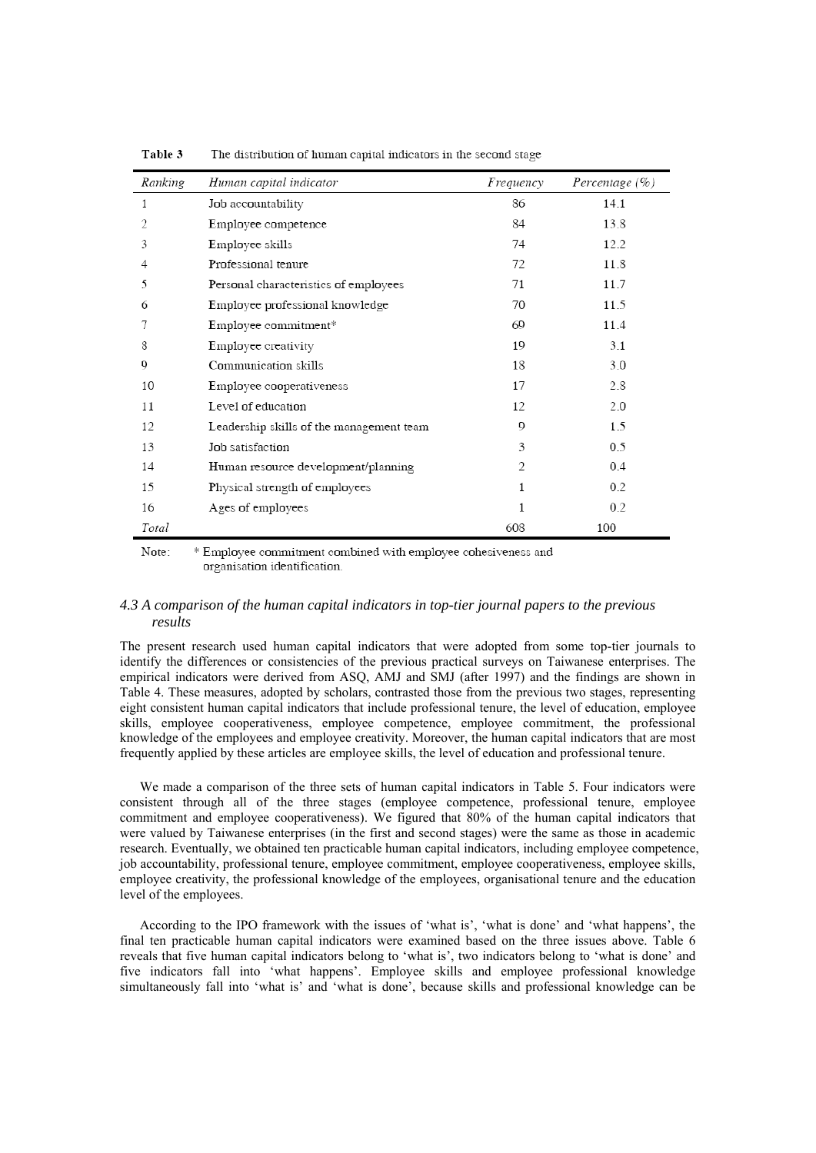| Ranking        | Human capital indicator                  | Frequency | Percentage (%) |
|----------------|------------------------------------------|-----------|----------------|
| 1              | Job accountability                       | 86        | 14.1           |
| $\overline{2}$ | Employee competence                      | 84        | 13.8           |
| 3              | Employee skills                          | 74        | 12.2           |
| 4              | Professional tenure                      | 72        | 11.8           |
| 5              | Personal characteristics of employees    | 71        | 11.7           |
| 6              | Employee professional knowledge          | 70        | 11.5           |
| 7              | Employee commitment*                     | 69        | 11.4           |
| 8              | <b>Employee</b> creativity               | 19        | 3.1            |
| 9              | Communication skills                     | 18        | 3.0            |
| 10             | Employee cooperativeness                 | 17        | 2.8            |
| 11             | Level of education                       | 12        | 2.0            |
| 12             | Leadership skills of the management team | 0         | 1.5            |
| 13             | Job satisfaction                         | 3         | 0.5            |
| 14             | Human resource development/planning      | 2         | 0.4            |
| 15             | Physical strength of employees           | 1         | 0.2            |
| 16             | Ages of employees                        | 1         | 0.2            |
| Total          |                                          | 608       | 100            |

Table 3 The distribution of human capital indicators in the second stage

\* Employee commitment combined with employee cohesiveness and Note: organisation identification.

# *4.3 A comparison of the human capital indicators in top-tier journal papers to the previous results*

The present research used human capital indicators that were adopted from some top-tier journals to identify the differences or consistencies of the previous practical surveys on Taiwanese enterprises. The empirical indicators were derived from ASQ, AMJ and SMJ (after 1997) and the findings are shown in Table 4. These measures, adopted by scholars, contrasted those from the previous two stages, representing eight consistent human capital indicators that include professional tenure, the level of education, employee skills, employee cooperativeness, employee competence, employee commitment, the professional knowledge of the employees and employee creativity. Moreover, the human capital indicators that are most frequently applied by these articles are employee skills, the level of education and professional tenure.

We made a comparison of the three sets of human capital indicators in Table 5. Four indicators were consistent through all of the three stages (employee competence, professional tenure, employee commitment and employee cooperativeness). We figured that 80% of the human capital indicators that were valued by Taiwanese enterprises (in the first and second stages) were the same as those in academic research. Eventually, we obtained ten practicable human capital indicators, including employee competence, job accountability, professional tenure, employee commitment, employee cooperativeness, employee skills, employee creativity, the professional knowledge of the employees, organisational tenure and the education level of the employees.

According to the IPO framework with the issues of 'what is', 'what is done' and 'what happens', the final ten practicable human capital indicators were examined based on the three issues above. Table 6 reveals that five human capital indicators belong to 'what is', two indicators belong to 'what is done' and five indicators fall into 'what happens'. Employee skills and employee professional knowledge simultaneously fall into 'what is' and 'what is done', because skills and professional knowledge can be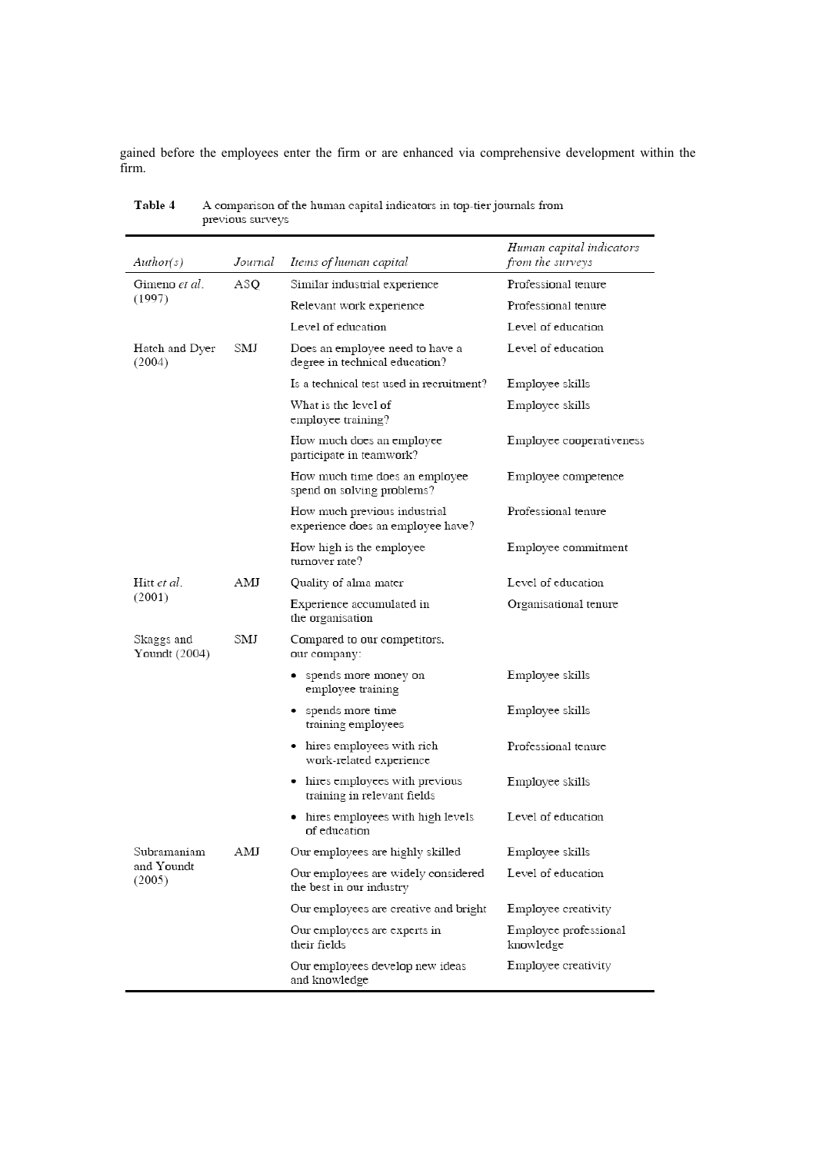gained before the employees enter the firm or are enhanced via comprehensive development within the firm.

| Author(s)                     | Journal | Items of human capital                                            | Human capital indicators<br>from the surveys |
|-------------------------------|---------|-------------------------------------------------------------------|----------------------------------------------|
| Gimeno et al.                 | ASQ     | Similar industrial experience                                     | Professional tenure                          |
| (1997)                        |         | Relevant work experience                                          | Professional tenure                          |
|                               |         | Level of education                                                | Level of education                           |
| Hatch and Dyer<br>(2004)      | SMJ     | Does an employee need to have a<br>degree in technical education? | Level of education                           |
|                               |         | Is a technical test used in recruitment?                          | Employee skills                              |
|                               |         | What is the level of<br>employee training?                        | Employee skills                              |
|                               |         | How much does an employee<br>participate in teamwork?             | Employee cooperativeness                     |
|                               |         | How much time does an employee<br>spend on solving problems?      | Employee competence                          |
|                               |         | How much previous industrial<br>experience does an employee have? | Professional tenure                          |
|                               |         | How high is the employee<br>turnover rate?                        | Employee commitment                          |
| Hitt et al.                   | AMJ     | Quality of alma mater                                             | Level of education                           |
| (2001)                        |         | Experience accumulated in<br>the organisation                     | Organisational tenure                        |
| Skaggs and<br>Youndt $(2004)$ | SMJ     | Compared to our competitors,<br>our company:                      |                                              |
|                               |         | • spends more money on<br>employee training                       | Employee skills                              |
|                               |         | $\bullet$ spends more time<br>training employees                  | Employee skills                              |
|                               |         | • hires employees with rich<br>work-related experience            | Professional tenure                          |
|                               |         | • hires employees with previous<br>training in relevant fields    | Employee skills                              |
|                               |         | • hires employees with high levels<br>of education                | Level of education                           |
| Subramaniam                   | AMJ     | Our employees are highly skilled                                  | Employee skills                              |
| and Youndt<br>(2005)          |         | Our employees are widely considered<br>the best in our industry   | Level of education                           |
|                               |         | Our employees are creative and bright                             | Employee creativity                          |
|                               |         | Our employees are experts in<br>their fields                      | Employee professional<br>knowledge           |
|                               |         | Our employees develop new ideas<br>and knowledge                  | Employee creativity                          |

 ${\bf A}$  comparison of the human capital indicators in top-tier journals from previous surveys Table 4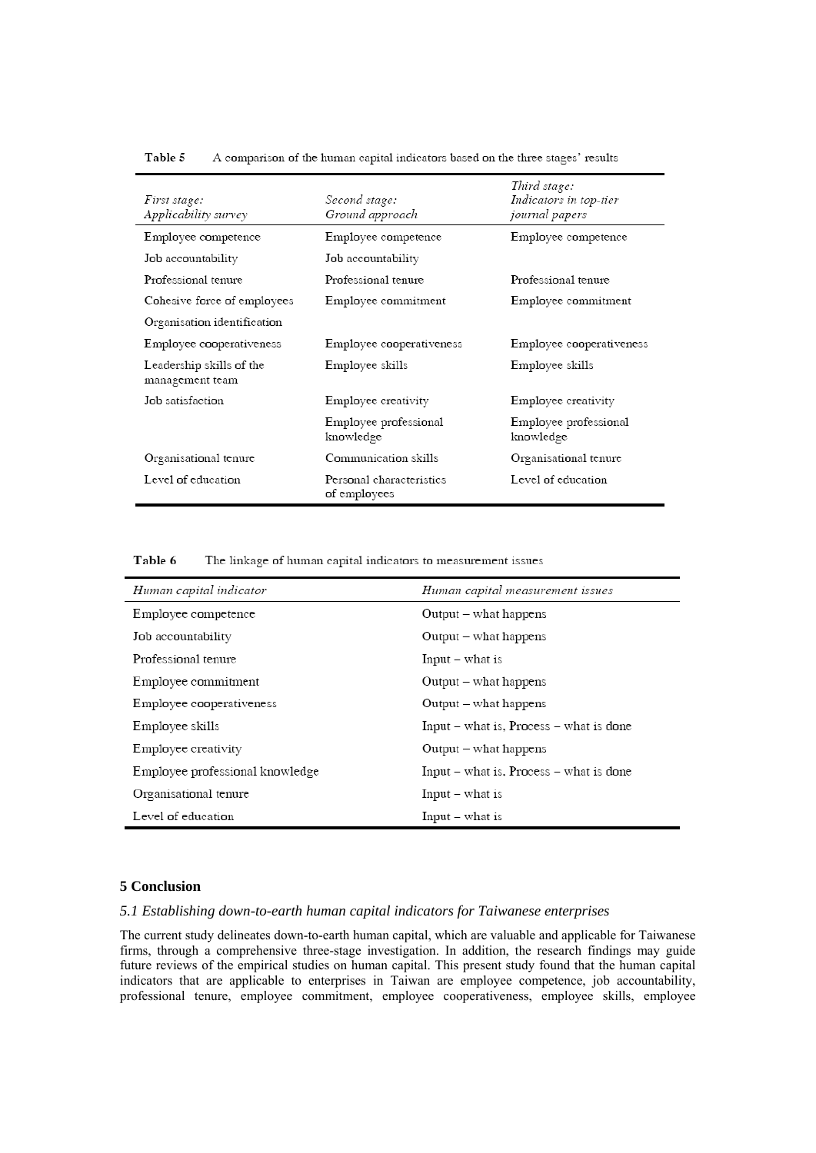| First stage:<br>Applicability survey        | Second stage:<br>Ground approach         | Third stage:<br>Indicators in top-tier<br>journal papers |
|---------------------------------------------|------------------------------------------|----------------------------------------------------------|
| Employee competence                         | Employee competence                      | Employee competence                                      |
| Job accountability                          | Job accountability                       |                                                          |
| Professional tenure                         | Professional tenure                      | Professional tenure                                      |
| Cohesive force of employees                 | Employee commitment                      | Employee commitment                                      |
| Organisation identification                 |                                          |                                                          |
| Employee cooperativeness                    | Employee cooperativeness                 | Employee cooperativeness                                 |
| Leadership skills of the<br>management team | Employee skills                          | Employee skills                                          |
| Job satisfaction                            | Employee creativity                      | <b>Employee</b> creativity                               |
|                                             | Employee professional<br>knowledge       | Employee professional<br>knowledge                       |
| Organisational tenure                       | Communication skills                     | Organisational tenure                                    |
| Level of education                          | Personal characteristics<br>of employees | Level of education                                       |

Table 5 A comparison of the human capital indicators based on the three stages' results

#### Table 6 The linkage of human capital indicators to measurement issues

| Human capital indicator         | Human capital measurement issues          |
|---------------------------------|-------------------------------------------|
| Employee competence             | $Output - what happens$                   |
| Job accountability              | $Output - what happens$                   |
| Professional tenure             | $Input - what is$                         |
| Employee commitment             | $Output - what happens$                   |
| Employee cooperativeness        | $Output - what happens$                   |
| Employee skills                 | $Input - what is, Process - what is done$ |
| Employee creativity             | $Output - what happens$                   |
| Employee professional knowledge | $Input - what is, Process - what is done$ |
| Organisational tenure           | $Input - what is$                         |
| Level of education              | $Input - what is$                         |

# **5 Conclusion**

# *5.1 Establishing down-to-earth human capital indicators for Taiwanese enterprises*

The current study delineates down-to-earth human capital, which are valuable and applicable for Taiwanese firms, through a comprehensive three-stage investigation. In addition, the research findings may guide future reviews of the empirical studies on human capital. This present study found that the human capital indicators that are applicable to enterprises in Taiwan are employee competence, job accountability, professional tenure, employee commitment, employee cooperativeness, employee skills, employee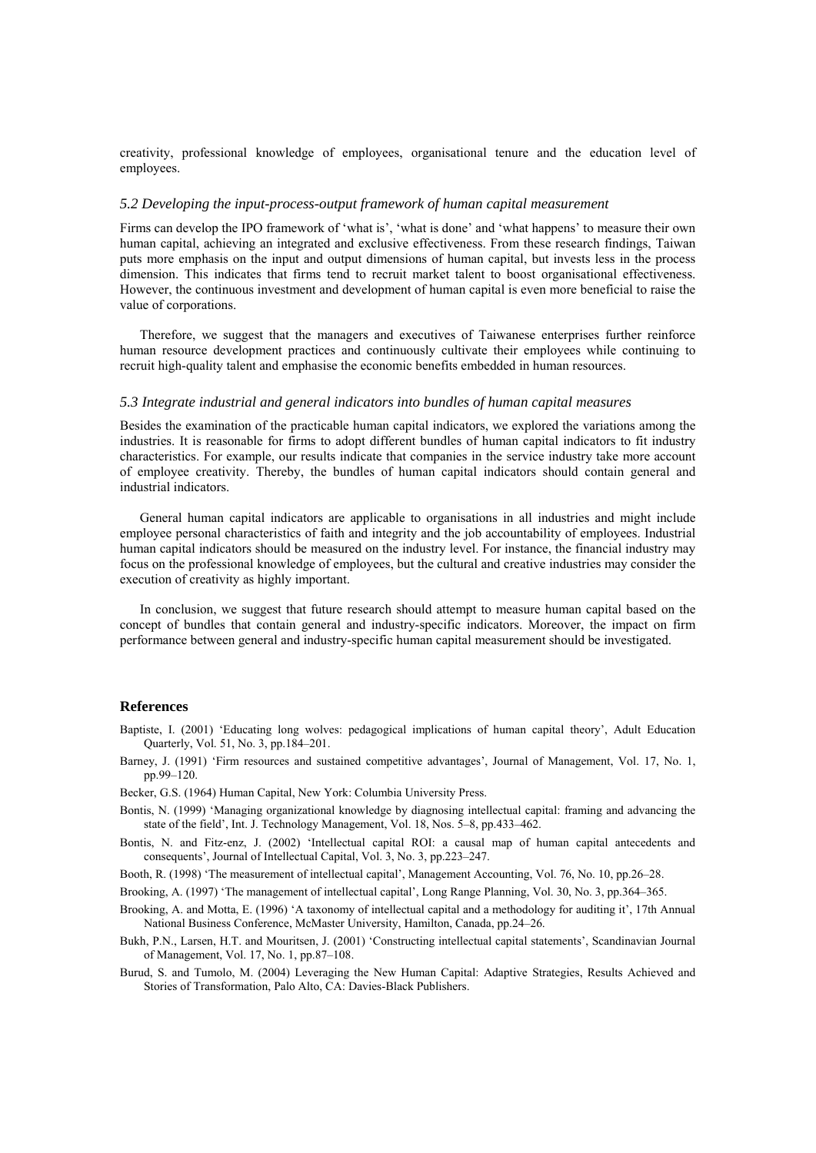creativity, professional knowledge of employees, organisational tenure and the education level of employees.

# *5.2 Developing the input-process-output framework of human capital measurement*

Firms can develop the IPO framework of 'what is', 'what is done' and 'what happens' to measure their own human capital, achieving an integrated and exclusive effectiveness. From these research findings, Taiwan puts more emphasis on the input and output dimensions of human capital, but invests less in the process dimension. This indicates that firms tend to recruit market talent to boost organisational effectiveness. However, the continuous investment and development of human capital is even more beneficial to raise the value of corporations.

Therefore, we suggest that the managers and executives of Taiwanese enterprises further reinforce human resource development practices and continuously cultivate their employees while continuing to recruit high-quality talent and emphasise the economic benefits embedded in human resources.

# *5.3 Integrate industrial and general indicators into bundles of human capital measures*

Besides the examination of the practicable human capital indicators, we explored the variations among the industries. It is reasonable for firms to adopt different bundles of human capital indicators to fit industry characteristics. For example, our results indicate that companies in the service industry take more account of employee creativity. Thereby, the bundles of human capital indicators should contain general and industrial indicators.

General human capital indicators are applicable to organisations in all industries and might include employee personal characteristics of faith and integrity and the job accountability of employees. Industrial human capital indicators should be measured on the industry level. For instance, the financial industry may focus on the professional knowledge of employees, but the cultural and creative industries may consider the execution of creativity as highly important.

In conclusion, we suggest that future research should attempt to measure human capital based on the concept of bundles that contain general and industry-specific indicators. Moreover, the impact on firm performance between general and industry-specific human capital measurement should be investigated.

#### **References**

Baptiste, I. (2001) 'Educating long wolves: pedagogical implications of human capital theory', Adult Education Quarterly, Vol. 51, No. 3, pp.184–201.

Barney, J. (1991) 'Firm resources and sustained competitive advantages', Journal of Management, Vol. 17, No. 1, pp.99–120.

Becker, G.S. (1964) Human Capital, New York: Columbia University Press.

- Bontis, N. (1999) 'Managing organizational knowledge by diagnosing intellectual capital: framing and advancing the state of the field', Int. J. Technology Management, Vol. 18, Nos. 5–8, pp.433–462.
- Bontis, N. and Fitz-enz, J. (2002) 'Intellectual capital ROI: a causal map of human capital antecedents and consequents', Journal of Intellectual Capital, Vol. 3, No. 3, pp.223–247.
- Booth, R. (1998) 'The measurement of intellectual capital', Management Accounting, Vol. 76, No. 10, pp.26–28.

Brooking, A. (1997) 'The management of intellectual capital', Long Range Planning, Vol. 30, No. 3, pp.364–365.

- Brooking, A. and Motta, E. (1996) 'A taxonomy of intellectual capital and a methodology for auditing it', 17th Annual National Business Conference, McMaster University, Hamilton, Canada, pp.24–26.
- Bukh, P.N., Larsen, H.T. and Mouritsen, J. (2001) 'Constructing intellectual capital statements', Scandinavian Journal of Management, Vol. 17, No. 1, pp.87–108.
- Burud, S. and Tumolo, M. (2004) Leveraging the New Human Capital: Adaptive Strategies, Results Achieved and Stories of Transformation, Palo Alto, CA: Davies-Black Publishers.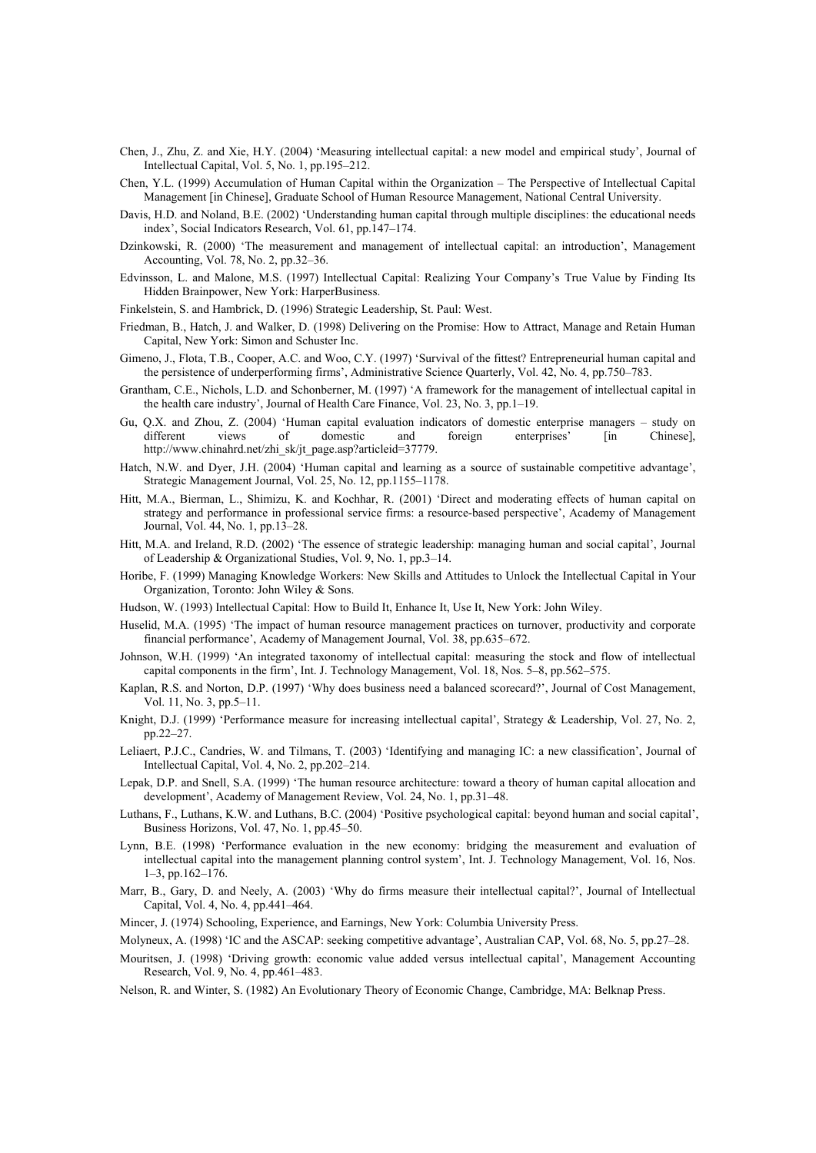- Chen, J., Zhu, Z. and Xie, H.Y. (2004) 'Measuring intellectual capital: a new model and empirical study', Journal of Intellectual Capital, Vol. 5, No. 1, pp.195–212.
- Chen, Y.L. (1999) Accumulation of Human Capital within the Organization The Perspective of Intellectual Capital Management [in Chinese], Graduate School of Human Resource Management, National Central University.
- Davis, H.D. and Noland, B.E. (2002) 'Understanding human capital through multiple disciplines: the educational needs index', Social Indicators Research, Vol. 61, pp.147–174.
- Dzinkowski, R. (2000) 'The measurement and management of intellectual capital: an introduction', Management Accounting, Vol. 78, No. 2, pp.32–36.
- Edvinsson, L. and Malone, M.S. (1997) Intellectual Capital: Realizing Your Company's True Value by Finding Its Hidden Brainpower, New York: HarperBusiness.
- Finkelstein, S. and Hambrick, D. (1996) Strategic Leadership, St. Paul: West.
- Friedman, B., Hatch, J. and Walker, D. (1998) Delivering on the Promise: How to Attract, Manage and Retain Human Capital, New York: Simon and Schuster Inc.
- Gimeno, J., Flota, T.B., Cooper, A.C. and Woo, C.Y. (1997) 'Survival of the fittest? Entrepreneurial human capital and the persistence of underperforming firms', Administrative Science Quarterly, Vol. 42, No. 4, pp.750–783.
- Grantham, C.E., Nichols, L.D. and Schonberner, M. (1997) 'A framework for the management of intellectual capital in the health care industry', Journal of Health Care Finance, Vol. 23, No. 3, pp.1–19.
- Gu, Q.X. and Zhou, Z. (2004) 'Human capital evaluation indicators of domestic enterprise managers study on different views of domestic and foreign enterprises' [in Chinese], http://www.chinahrd.net/zhi\_sk/jt\_page.asp?articleid=37779.
- Hatch, N.W. and Dyer, J.H. (2004) 'Human capital and learning as a source of sustainable competitive advantage', Strategic Management Journal, Vol. 25, No. 12, pp.1155–1178.
- Hitt, M.A., Bierman, L., Shimizu, K. and Kochhar, R. (2001) 'Direct and moderating effects of human capital on strategy and performance in professional service firms: a resource-based perspective', Academy of Management Journal, Vol. 44, No. 1, pp.13–28.
- Hitt, M.A. and Ireland, R.D. (2002) 'The essence of strategic leadership: managing human and social capital', Journal of Leadership & Organizational Studies, Vol. 9, No. 1, pp.3–14.
- Horibe, F. (1999) Managing Knowledge Workers: New Skills and Attitudes to Unlock the Intellectual Capital in Your Organization, Toronto: John Wiley & Sons.
- Hudson, W. (1993) Intellectual Capital: How to Build It, Enhance It, Use It, New York: John Wiley.
- Huselid, M.A. (1995) 'The impact of human resource management practices on turnover, productivity and corporate financial performance', Academy of Management Journal, Vol. 38, pp.635–672.
- Johnson, W.H. (1999) 'An integrated taxonomy of intellectual capital: measuring the stock and flow of intellectual capital components in the firm', Int. J. Technology Management, Vol. 18, Nos. 5–8, pp.562–575.
- Kaplan, R.S. and Norton, D.P. (1997) 'Why does business need a balanced scorecard?', Journal of Cost Management, Vol. 11, No. 3, pp.5–11.
- Knight, D.J. (1999) 'Performance measure for increasing intellectual capital', Strategy & Leadership, Vol. 27, No. 2, pp.22–27.
- Leliaert, P.J.C., Candries, W. and Tilmans, T. (2003) 'Identifying and managing IC: a new classification', Journal of Intellectual Capital, Vol. 4, No. 2, pp.202–214.
- Lepak, D.P. and Snell, S.A. (1999) 'The human resource architecture: toward a theory of human capital allocation and development', Academy of Management Review, Vol. 24, No. 1, pp.31–48.
- Luthans, F., Luthans, K.W. and Luthans, B.C. (2004) 'Positive psychological capital: beyond human and social capital', Business Horizons, Vol. 47, No. 1, pp.45–50.
- Lynn, B.E. (1998) 'Performance evaluation in the new economy: bridging the measurement and evaluation of intellectual capital into the management planning control system', Int. J. Technology Management, Vol. 16, Nos. 1–3, pp.162–176.
- Marr, B., Gary, D. and Neely, A. (2003) 'Why do firms measure their intellectual capital?', Journal of Intellectual Capital, Vol. 4, No. 4, pp.441–464.
- Mincer, J. (1974) Schooling, Experience, and Earnings, New York: Columbia University Press.
- Molyneux, A. (1998) 'IC and the ASCAP: seeking competitive advantage', Australian CAP, Vol. 68, No. 5, pp.27–28.
- Mouritsen, J. (1998) 'Driving growth: economic value added versus intellectual capital', Management Accounting Research, Vol. 9, No. 4, pp.461–483.
- Nelson, R. and Winter, S. (1982) An Evolutionary Theory of Economic Change, Cambridge, MA: Belknap Press.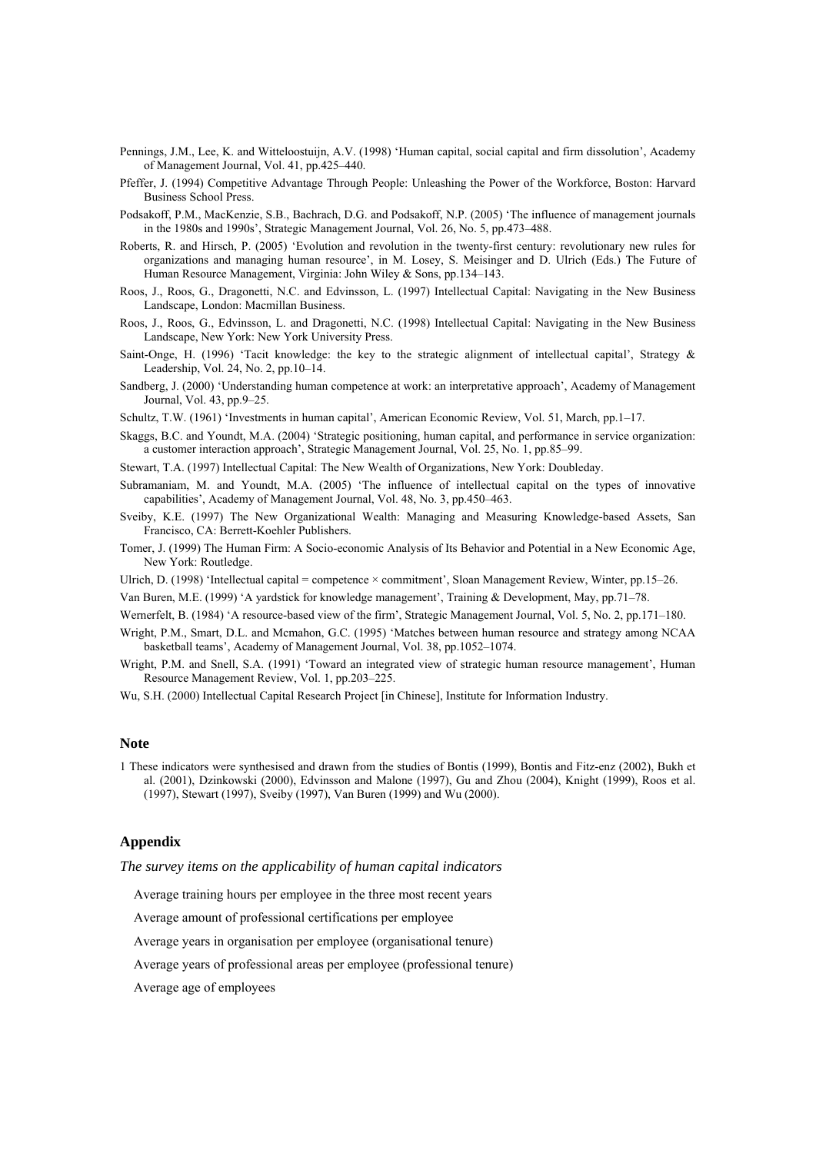- Pennings, J.M., Lee, K. and Witteloostuijn, A.V. (1998) 'Human capital, social capital and firm dissolution', Academy of Management Journal, Vol. 41, pp.425–440.
- Pfeffer, J. (1994) Competitive Advantage Through People: Unleashing the Power of the Workforce, Boston: Harvard Business School Press.
- Podsakoff, P.M., MacKenzie, S.B., Bachrach, D.G. and Podsakoff, N.P. (2005) 'The influence of management journals in the 1980s and 1990s', Strategic Management Journal, Vol. 26, No. 5, pp.473–488.
- Roberts, R. and Hirsch, P. (2005) 'Evolution and revolution in the twenty-first century: revolutionary new rules for organizations and managing human resource', in M. Losey, S. Meisinger and D. Ulrich (Eds.) The Future of Human Resource Management, Virginia: John Wiley & Sons, pp.134–143.
- Roos, J., Roos, G., Dragonetti, N.C. and Edvinsson, L. (1997) Intellectual Capital: Navigating in the New Business Landscape, London: Macmillan Business.
- Roos, J., Roos, G., Edvinsson, L. and Dragonetti, N.C. (1998) Intellectual Capital: Navigating in the New Business Landscape, New York: New York University Press.
- Saint-Onge, H. (1996) 'Tacit knowledge: the key to the strategic alignment of intellectual capital', Strategy & Leadership, Vol. 24, No. 2, pp.10–14.
- Sandberg, J. (2000) 'Understanding human competence at work: an interpretative approach', Academy of Management Journal, Vol. 43, pp.9–25.
- Schultz, T.W. (1961) 'Investments in human capital', American Economic Review, Vol. 51, March, pp.1–17.
- Skaggs, B.C. and Youndt, M.A. (2004) 'Strategic positioning, human capital, and performance in service organization: a customer interaction approach', Strategic Management Journal, Vol. 25, No. 1, pp.85–99.
- Stewart, T.A. (1997) Intellectual Capital: The New Wealth of Organizations, New York: Doubleday.
- Subramaniam, M. and Youndt, M.A. (2005) 'The influence of intellectual capital on the types of innovative capabilities', Academy of Management Journal, Vol. 48, No. 3, pp.450–463.
- Sveiby, K.E. (1997) The New Organizational Wealth: Managing and Measuring Knowledge-based Assets, San Francisco, CA: Berrett-Koehler Publishers.
- Tomer, J. (1999) The Human Firm: A Socio-economic Analysis of Its Behavior and Potential in a New Economic Age, New York: Routledge.
- Ulrich, D. (1998) 'Intellectual capital = competence  $\times$  commitment', Sloan Management Review, Winter, pp.15–26.
- Van Buren, M.E. (1999) 'A yardstick for knowledge management', Training & Development, May, pp.71–78.
- Wernerfelt, B. (1984) 'A resource-based view of the firm', Strategic Management Journal, Vol. 5, No. 2, pp.171–180.
- Wright, P.M., Smart, D.L. and Mcmahon, G.C. (1995) 'Matches between human resource and strategy among NCAA basketball teams', Academy of Management Journal, Vol. 38, pp.1052–1074.
- Wright, P.M. and Snell, S.A. (1991) 'Toward an integrated view of strategic human resource management', Human Resource Management Review, Vol. 1, pp.203–225.
- Wu, S.H. (2000) Intellectual Capital Research Project [in Chinese], Institute for Information Industry.

# **Note**

1 These indicators were synthesised and drawn from the studies of Bontis (1999), Bontis and Fitz-enz (2002), Bukh et al. (2001), Dzinkowski (2000), Edvinsson and Malone (1997), Gu and Zhou (2004), Knight (1999), Roos et al. (1997), Stewart (1997), Sveiby (1997), Van Buren (1999) and Wu (2000).

#### **Appendix**

*The survey items on the applicability of human capital indicators* 

Average training hours per employee in the three most recent years

Average amount of professional certifications per employee

Average years in organisation per employee (organisational tenure)

Average years of professional areas per employee (professional tenure)

Average age of employees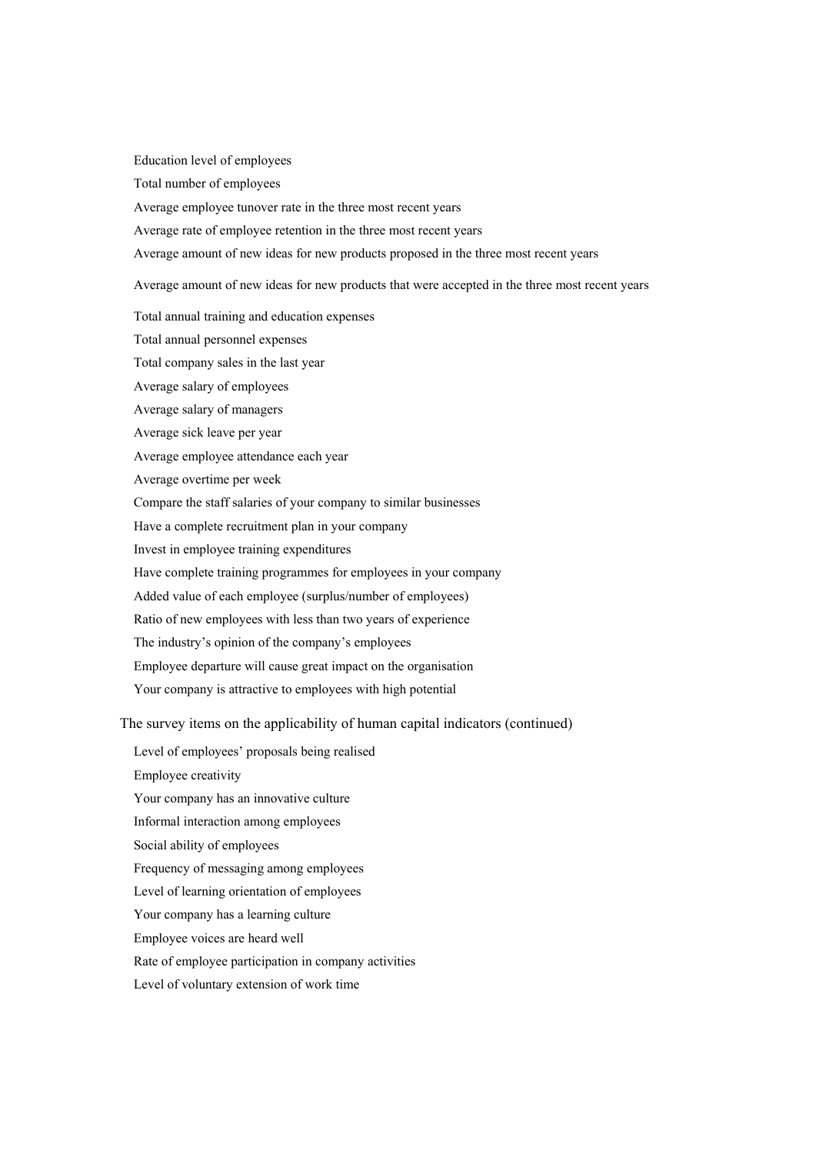Education level of employees

- Total number of employees
- Average employee tunover rate in the three most recent years
- Average rate of employee retention in the three most recent years
- Average amount of new ideas for new products proposed in the three most recent years

Average amount of new ideas for new products that were accepted in the three most recent years

- Total annual training and education expenses
- Total annual personnel expenses
- Total company sales in the last year
- Average salary of employees
- Average salary of managers
- Average sick leave per year
- Average employee attendance each year
- Average overtime per week
- Compare the staff salaries of your company to similar businesses
- Have a complete recruitment plan in your company
- Invest in employee training expenditures
- Have complete training programmes for employees in your company
- Added value of each employee (surplus/number of employees)
- Ratio of new employees with less than two years of experience
- The industry's opinion of the company's employees
- Employee departure will cause great impact on the organisation
- Your company is attractive to employees with high potential

The survey items on the applicability of human capital indicators (continued)

- Level of employees' proposals being realised Employee creativity Your company has an innovative culture Informal interaction among employees Social ability of employees Frequency of messaging among employees Level of learning orientation of employees Your company has a learning culture Employee voices are heard well Rate of employee participation in company activities
- Level of voluntary extension of work time